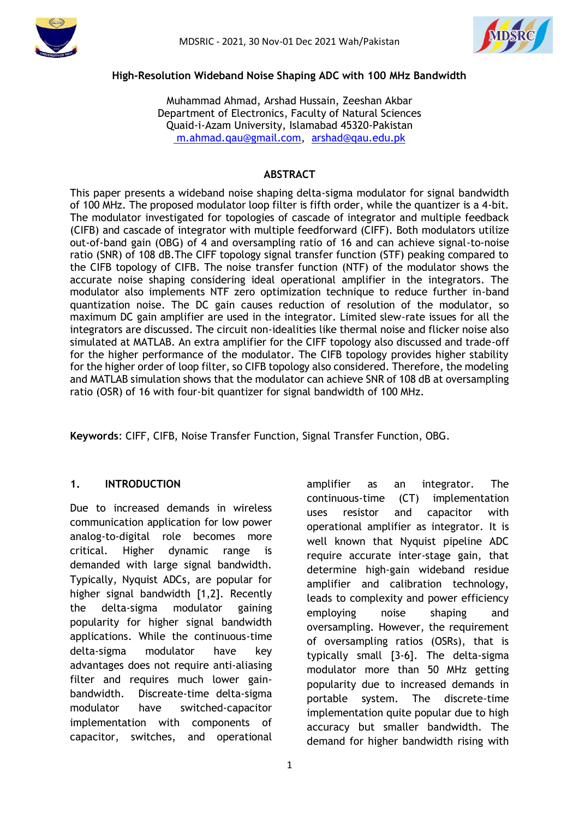



#### **High-Resolution Wideband Noise Shaping ADC with 100 MHz Bandwidth**

Muhammad Ahmad, Arshad Hussain, Zeeshan Akbar Department of Electronics, Faculty of Natural Sciences Quaid-i-Azam University, Islamabad 45320-Pakistan [m.ahmad.qau@gmail.com,](mailto:%20m.ahmad.qau@gmail.com) [arshad@qau.edu.pk](mailto:arshad@qau.edu.pk)

### **ABSTRACT**

This paper presents a wideband noise shaping delta-sigma modulator for signal bandwidth of 100 MHz. The proposed modulator loop filter is fifth order, while the quantizer is a 4-bit. The modulator investigated for topologies of cascade of integrator and multiple feedback (CIFB) and cascade of integrator with multiple feedforward (CIFF). Both modulators utilize out-of-band gain (OBG) of 4 and oversampling ratio of 16 and can achieve signal-to-noise ratio (SNR) of 108 dB.The CIFF topology signal transfer function (STF) peaking compared to the CIFB topology of CIFB. The noise transfer function (NTF) of the modulator shows the accurate noise shaping considering ideal operational amplifier in the integrators. The modulator also implements NTF zero optimization technique to reduce further in-band quantization noise. The DC gain causes reduction of resolution of the modulator, so maximum DC gain amplifier are used in the integrator. Limited slew-rate issues for all the integrators are discussed. The circuit non-idealities like thermal noise and flicker noise also simulated at MATLAB. An extra amplifier for the CIFF topology also discussed and trade-off for the higher performance of the modulator. The CIFB topology provides higher stability for the higher order of loop filter, so CIFB topology also considered. Therefore, the modeling and MATLAB simulation shows that the modulator can achieve SNR of 108 dB at oversampling ratio (OSR) of 16 with four-bit quantizer for signal bandwidth of 100 MHz.

**Keywords**: CIFF, CIFB, Noise Transfer Function, Signal Transfer Function, OBG.

### **1. INTRODUCTION**

Due to increased demands in wireless communication application for low power analog-to-digital role becomes more critical. Higher dynamic range is demanded with large signal bandwidth. Typically, Nyquist ADCs, are popular for higher signal bandwidth [1,2]. Recently the delta-sigma modulator gaining popularity for higher signal bandwidth applications. While the continuous-time delta-sigma modulator have key advantages does not require anti-aliasing filter and requires much lower gainbandwidth. Discreate-time delta-sigma modulator have switched-capacitor implementation with components of capacitor, switches, and operational amplifier as an integrator. The continuous-time (CT) implementation uses resistor and capacitor with operational amplifier as integrator. It is well known that Nyquist pipeline ADC require accurate inter-stage gain, that determine high-gain wideband residue amplifier and calibration technology, leads to complexity and power efficiency employing noise shaping and oversampling. However, the requirement of oversampling ratios (OSRs), that is typically small [3-6]. The delta-sigma modulator more than 50 MHz getting popularity due to increased demands in portable system. The discrete-time implementation quite popular due to high accuracy but smaller bandwidth. The demand for higher bandwidth rising with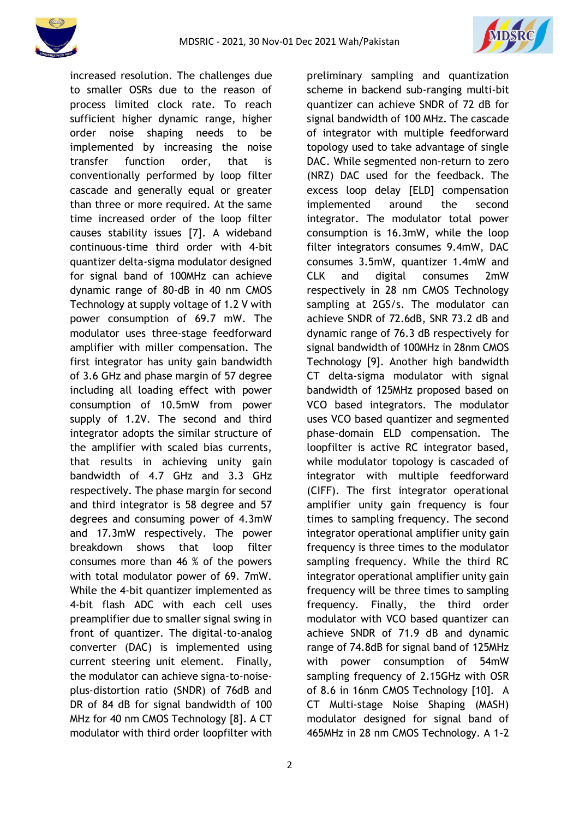



increased resolution. The challenges due to smaller OSRs due to the reason of process limited clock rate. To reach sufficient higher dynamic range, higher order noise shaping needs to be implemented by increasing the noise transfer function order, that is conventionally performed by loop filter cascade and generally equal or greater than three or more required. At the same time increased order of the loop filter causes stability issues [7]. A wideband continuous-time third order with 4-bit quantizer delta-sigma modulator designed for signal band of 100MHz can achieve dynamic range of 80-dB in 40 nm CMOS Technology at supply voltage of 1.2 V with power consumption of 69.7 mW. The modulator uses three-stage feedforward amplifier with miller compensation. The first integrator has unity gain bandwidth of 3.6 GHz and phase margin of 57 degree including all loading effect with power consumption of 10.5mW from power supply of 1.2V. The second and third integrator adopts the similar structure of the amplifier with scaled bias currents, that results in achieving unity gain bandwidth of 4.7 GHz and 3.3 GHz respectively. The phase margin for second and third integrator is 58 degree and 57 degrees and consuming power of 4.3mW and 17.3mW respectively. The power breakdown shows that loop filter consumes more than 46 % of the powers with total modulator power of 69. 7mW. While the 4-bit quantizer implemented as 4-bit flash ADC with each cell uses preamplifier due to smaller signal swing in front of quantizer. The digital-to-analog converter (DAC) is implemented using current steering unit element. Finally, the modulator can achieve signa-to-noiseplus-distortion ratio (SNDR) of 76dB and DR of 84 dB for signal bandwidth of 100 MHz for 40 nm CMOS Technology [8]. A CT modulator with third order loopfilter with preliminary sampling and quantization scheme in backend sub-ranging multi-bit quantizer can achieve SNDR of 72 dB for signal bandwidth of 100 MHz. The cascade of integrator with multiple feedforward topology used to take advantage of single DAC. While segmented non-return to zero (NRZ) DAC used for the feedback. The excess loop delay [ELD] compensation implemented around the second integrator. The modulator total power consumption is 16.3mW, while the loop filter integrators consumes 9.4mW, DAC consumes 3.5mW, quantizer 1.4mW and CLK and digital consumes 2mW respectively in 28 nm CMOS Technology sampling at 2GS/s. The modulator can achieve SNDR of 72.6dB, SNR 73.2 dB and dynamic range of 76.3 dB respectively for signal bandwidth of 100MHz in 28nm CMOS Technology [9]. Another high bandwidth CT delta-sigma modulator with signal bandwidth of 125MHz proposed based on VCO based integrators. The modulator uses VCO based quantizer and segmented phase-domain ELD compensation. The loopfilter is active RC integrator based, while modulator topology is cascaded of integrator with multiple feedforward (CIFF). The first integrator operational amplifier unity gain frequency is four times to sampling frequency. The second integrator operational amplifier unity gain frequency is three times to the modulator sampling frequency. While the third RC integrator operational amplifier unity gain frequency will be three times to sampling frequency. Finally, the third order modulator with VCO based quantizer can achieve SNDR of 71.9 dB and dynamic range of 74.8dB for signal band of 125MHz with power consumption of 54mW sampling frequency of 2.15GHz with OSR of 8.6 in 16nm CMOS Technology [10]. A CT Multi-stage Noise Shaping (MASH) modulator designed for signal band of 465MHz in 28 nm CMOS Technology. A 1-2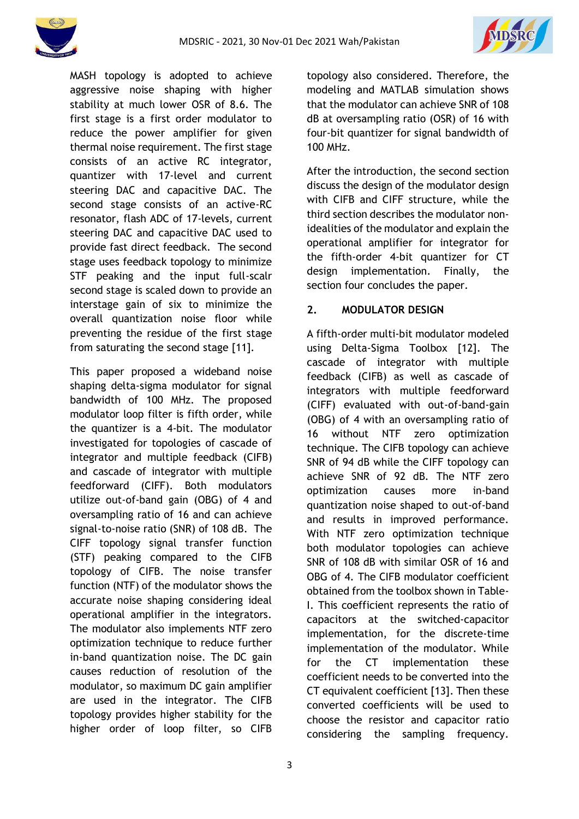



MASH topology is adopted to achieve aggressive noise shaping with higher stability at much lower OSR of 8.6. The first stage is a first order modulator to reduce the power amplifier for given thermal noise requirement. The first stage consists of an active RC integrator, quantizer with 17-level and current steering DAC and capacitive DAC. The second stage consists of an active-RC resonator, flash ADC of 17-levels, current steering DAC and capacitive DAC used to provide fast direct feedback. The second stage uses feedback topology to minimize STF peaking and the input full-scalr second stage is scaled down to provide an interstage gain of six to minimize the overall quantization noise floor while preventing the residue of the first stage from saturating the second stage [11].

This paper proposed a wideband noise shaping delta-sigma modulator for signal bandwidth of 100 MHz. The proposed modulator loop filter is fifth order, while the quantizer is a 4-bit. The modulator investigated for topologies of cascade of integrator and multiple feedback (CIFB) and cascade of integrator with multiple feedforward (CIFF). Both modulators utilize out-of-band gain (OBG) of 4 and oversampling ratio of 16 and can achieve signal-to-noise ratio (SNR) of 108 dB. The CIFF topology signal transfer function (STF) peaking compared to the CIFB topology of CIFB. The noise transfer function (NTF) of the modulator shows the accurate noise shaping considering ideal operational amplifier in the integrators. The modulator also implements NTF zero optimization technique to reduce further in-band quantization noise. The DC gain causes reduction of resolution of the modulator, so maximum DC gain amplifier are used in the integrator. The CIFB topology provides higher stability for the higher order of loop filter, so CIFB

topology also considered. Therefore, the modeling and MATLAB simulation shows that the modulator can achieve SNR of 108 dB at oversampling ratio (OSR) of 16 with four-bit quantizer for signal bandwidth of 100 MHz.

After the introduction, the second section discuss the design of the modulator design with CIFB and CIFF structure, while the third section describes the modulator nonidealities of the modulator and explain the operational amplifier for integrator for the fifth-order 4-bit quantizer for CT design implementation. Finally, the section four concludes the paper.

## **2. MODULATOR DESIGN**

A fifth-order multi-bit modulator modeled using Delta-Sigma Toolbox [12]. The cascade of integrator with multiple feedback (CIFB) as well as cascade of integrators with multiple feedforward (CIFF) evaluated with out-of-band-gain (OBG) of 4 with an oversampling ratio of 16 without NTF zero optimization technique. The CIFB topology can achieve SNR of 94 dB while the CIFF topology can achieve SNR of 92 dB. The NTF zero optimization causes more in-band quantization noise shaped to out-of-band and results in improved performance. With NTF zero optimization technique both modulator topologies can achieve SNR of 108 dB with similar OSR of 16 and OBG of 4. The CIFB modulator coefficient obtained from the toolbox shown in Table-I. This coefficient represents the ratio of capacitors at the switched-capacitor implementation, for the discrete-time implementation of the modulator. While for the CT implementation these coefficient needs to be converted into the CT equivalent coefficient [13]. Then these converted coefficients will be used to choose the resistor and capacitor ratio considering the sampling frequency.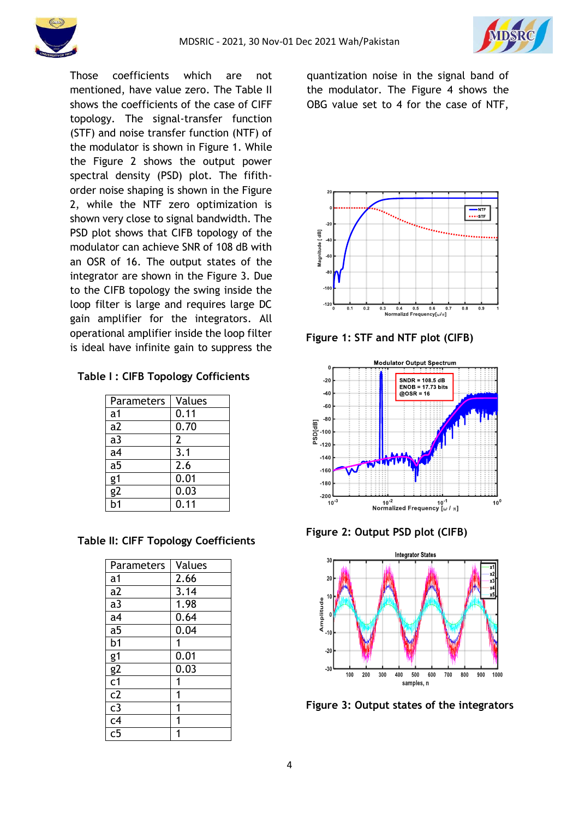



Those coefficients which are not mentioned, have value zero. The Table II shows the coefficients of the case of CIFF topology. The signal-transfer function (STF) and noise transfer function (NTF) of the modulator is shown in Figure 1. While the Figure 2 shows the output power spectral density (PSD) plot. The fifithorder noise shaping is shown in the Figure 2, while the NTF zero optimization is shown very close to signal bandwidth. The PSD plot shows that CIFB topology of the modulator can achieve SNR of 108 dB with an OSR of 16. The output states of the integrator are shown in the Figure 3. Due to the CIFB topology the swing inside the loop filter is large and requires large DC gain amplifier for the integrators. All operational amplifier inside the loop filter is ideal have infinite gain to suppress the

|  |  |  |  | Table I: CIFB Topology Cofficients |
|--|--|--|--|------------------------------------|
|--|--|--|--|------------------------------------|

| <b>Parameters</b> | Values |  |
|-------------------|--------|--|
| a1                | 0.11   |  |
| a2                | 0.70   |  |
| a3                | 2      |  |
| a <sub>4</sub>    | 3.1    |  |
| a <sub>5</sub>    | 2.6    |  |
| g1                | 0.01   |  |
| <u>g2</u>         | 0.03   |  |
|                   | 0.11   |  |

**Table II: CIFF Topology Coefficients**

| <b>Parameters</b> | Values |
|-------------------|--------|
| a <sub>1</sub>    | 2.66   |
| $\overline{a2}$   | 3.14   |
| $\overline{a}$    | 1.98   |
| a <sub>4</sub>    | 0.64   |
| $a\overline{5}$   | 0.04   |
| $\overline{b1}$   | 1      |
| g1                | 0.01   |
| $rac{g}{c}$       | 0.03   |
|                   | 1      |
| $\overline{c2}$   | 1      |
| $\overline{c}3$   | 1      |
| $rac{6}{c}$       |        |
| $\overline{c}$ 5  |        |

quantization noise in the signal band of the modulator. The Figure 4 shows the OBG value set to 4 for the case of NTF,



**Figure 1: STF and NTF plot (CIFB)**



**Figure 2: Output PSD plot (CIFB)**



**Figure 3: Output states of the integrators**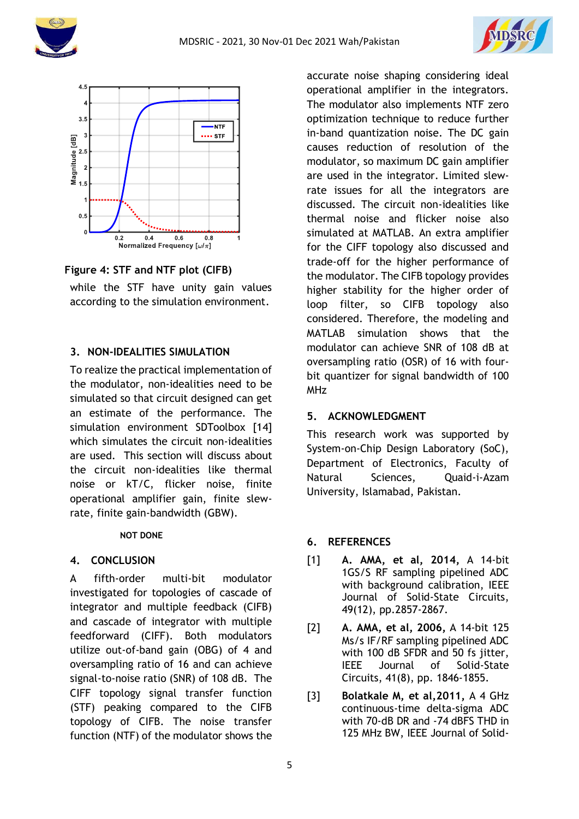





**Figure 4: STF and NTF plot (CIFB)**

while the STF have unity gain values according to the simulation environment.

## **3. NON-IDEALITIES SIMULATION**

To realize the practical implementation of the modulator, non-idealities need to be simulated so that circuit designed can get an estimate of the performance. The simulation environment SDToolbox [14] which simulates the circuit non-idealities are used. This section will discuss about the circuit non-idealities like thermal noise or kT/C, flicker noise, finite operational amplifier gain, finite slewrate, finite gain-bandwidth (GBW).

### **NOT DONE**

### **4. CONCLUSION**

A fifth-order multi-bit modulator investigated for topologies of cascade of integrator and multiple feedback (CIFB) and cascade of integrator with multiple feedforward (CIFF). Both modulators utilize out-of-band gain (OBG) of 4 and oversampling ratio of 16 and can achieve signal-to-noise ratio (SNR) of 108 dB. The CIFF topology signal transfer function (STF) peaking compared to the CIFB topology of CIFB. The noise transfer function (NTF) of the modulator shows the

accurate noise shaping considering ideal operational amplifier in the integrators. The modulator also implements NTF zero optimization technique to reduce further in-band quantization noise. The DC gain causes reduction of resolution of the modulator, so maximum DC gain amplifier are used in the integrator. Limited slewrate issues for all the integrators are discussed. The circuit non-idealities like thermal noise and flicker noise also simulated at MATLAB. An extra amplifier for the CIFF topology also discussed and trade-off for the higher performance of the modulator. The CIFB topology provides higher stability for the higher order of loop filter, so CIFB topology also considered. Therefore, the modeling and MATLAB simulation shows that the modulator can achieve SNR of 108 dB at oversampling ratio (OSR) of 16 with fourbit quantizer for signal bandwidth of 100 MHz

# **5. ACKNOWLEDGMENT**

This research work was supported by System-on-Chip Design Laboratory (SoC), Department of Electronics, Faculty of Natural Sciences, Quaid-i-Azam University, Islamabad, Pakistan.

## **6. REFERENCES**

- [1] **A. AMA, et al, 2014,** A 14-bit 1GS/S RF sampling pipelined ADC with background calibration, IEEE Journal of Solid-State Circuits, 49(12), pp.2857-2867.
- [2] **A. AMA, et al, 2006,** A 14-bit 125 Ms/s IF/RF sampling pipelined ADC with 100 dB SFDR and 50 fs jitter, IEEE Journal of Solid-State Circuits, 41(8), pp. 1846-1855.
- [3] **Bolatkale M, et al,2011,** A 4 GHz continuous-time delta-sigma ADC with 70-dB DR and -74 dBFS THD in 125 MHz BW, IEEE Journal of Solid-